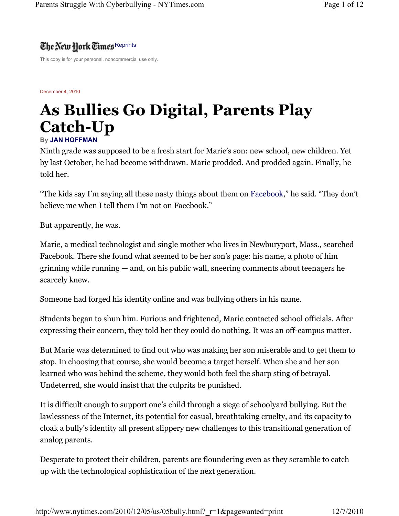# The New Hork Times Reprints

This copy is for your personal, noncommercial use only.

December 4, 2010

# **As Bullies Go Digital, Parents Play Catch-Up**

## **By JAN HOFFMAN**

Ninth grade was supposed to be a fresh start for Marie's son: new school, new children. Yet by last October, he had become withdrawn. Marie prodded. And prodded again. Finally, he told her.

"The kids say I'm saying all these nasty things about them on Facebook," he said. "They don't believe me when I tell them I'm not on Facebook."

But apparently, he was.

Marie, a medical technologist and single mother who lives in Newburyport, Mass., searched Facebook. There she found what seemed to be her son's page: his name, a photo of him grinning while running — and, on his public wall, sneering comments about teenagers he scarcely knew.

Someone had forged his identity online and was bullying others in his name.

Students began to shun him. Furious and frightened, Marie contacted school officials. After expressing their concern, they told her they could do nothing. It was an off-campus matter.

But Marie was determined to find out who was making her son miserable and to get them to stop. In choosing that course, she would become a target herself. When she and her son learned who was behind the scheme, they would both feel the sharp sting of betrayal. Undeterred, she would insist that the culprits be punished.

It is difficult enough to support one's child through a siege of schoolyard bullying. But the lawlessness of the Internet, its potential for casual, breathtaking cruelty, and its capacity to cloak a bully's identity all present slippery new challenges to this transitional generation of analog parents.

Desperate to protect their children, parents are floundering even as they scramble to catch up with the technological sophistication of the next generation.

http://www.nytimes.com/2010/12/05/us/05bully.html? r=1&pagewanted=print 12/7/2010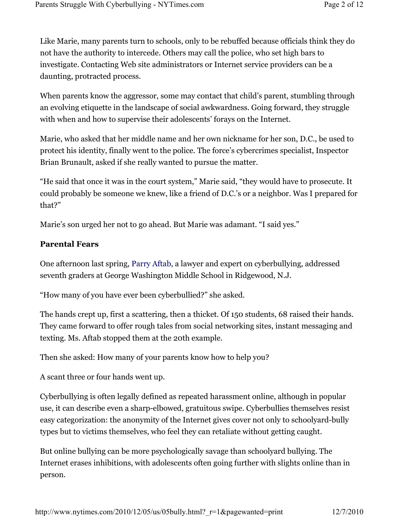Like Marie, many parents turn to schools, only to be rebuffed because officials think they do not have the authority to intercede. Others may call the police, who set high bars to investigate. Contacting Web site administrators or Internet service providers can be a daunting, protracted process.

When parents know the aggressor, some may contact that child's parent, stumbling through an evolving etiquette in the landscape of social awkwardness. Going forward, they struggle with when and how to supervise their adolescents' forays on the Internet.

Marie, who asked that her middle name and her own nickname for her son, D.C., be used to protect his identity, finally went to the police. The force's cybercrimes specialist, Inspector Brian Brunault, asked if she really wanted to pursue the matter.

"He said that once it was in the court system," Marie said, "they would have to prosecute. It could probably be someone we knew, like a friend of D.C.'s or a neighbor. Was I prepared for that?"

Marie's son urged her not to go ahead. But Marie was adamant. "I said yes."

#### **Parental Fears**

One afternoon last spring, Parry Aftab, a lawyer and expert on cyberbullying, addressed seventh graders at George Washington Middle School in Ridgewood, N.J.

"How many of you have ever been cyberbullied?" she asked.

The hands crept up, first a scattering, then a thicket. Of 150 students, 68 raised their hands. They came forward to offer rough tales from social networking sites, instant messaging and texting. Ms. Aftab stopped them at the 20th example.

Then she asked: How many of your parents know how to help you?

A scant three or four hands went up.

Cyberbullying is often legally defined as repeated harassment online, although in popular use, it can describe even a sharp-elbowed, gratuitous swipe. Cyberbullies themselves resist easy categorization: the anonymity of the Internet gives cover not only to schoolyard-bully types but to victims themselves, who feel they can retaliate without getting caught.

But online bullying can be more psychologically savage than schoolyard bullying. The Internet erases inhibitions, with adolescents often going further with slights online than in person.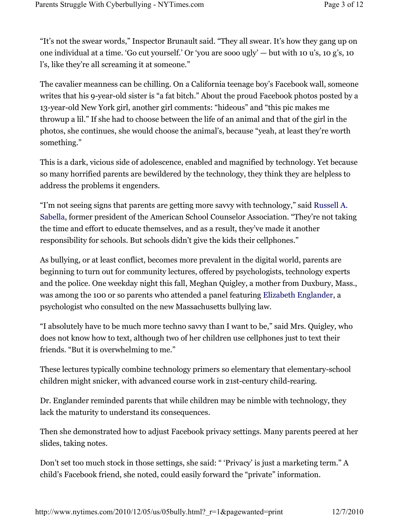"It's not the swear words," Inspector Brunault said. "They all swear. It's how they gang up on one individual at a time. 'Go cut yourself.' Or 'you are sooo ugly' — but with 10 u's, 10 g's, 10 l's, like they're all screaming it at someone."

The cavalier meanness can be chilling. On a California teenage boy's Facebook wall, someone writes that his 9-year-old sister is "a fat bitch." About the proud Facebook photos posted by a 13-year-old New York girl, another girl comments: "hideous" and "this pic makes me throwup a lil." If she had to choose between the life of an animal and that of the girl in the photos, she continues, she would choose the animal's, because "yeah, at least they're worth something."

This is a dark, vicious side of adolescence, enabled and magnified by technology. Yet because so many horrified parents are bewildered by the technology, they think they are helpless to address the problems it engenders.

"I'm not seeing signs that parents are getting more savvy with technology," said Russell A. Sabella, former president of the American School Counselor Association. "They're not taking the time and effort to educate themselves, and as a result, they've made it another responsibility for schools. But schools didn't give the kids their cellphones."

As bullying, or at least conflict, becomes more prevalent in the digital world, parents are beginning to turn out for community lectures, offered by psychologists, technology experts and the police. One weekday night this fall, Meghan Quigley, a mother from Duxbury, Mass., was among the 100 or so parents who attended a panel featuring Elizabeth Englander, a psychologist who consulted on the new Massachusetts bullying law.

"I absolutely have to be much more techno savvy than I want to be," said Mrs. Quigley, who does not know how to text, although two of her children use cellphones just to text their friends. "But it is overwhelming to me."

These lectures typically combine technology primers so elementary that elementary-school children might snicker, with advanced course work in 21st-century child-rearing.

Dr. Englander reminded parents that while children may be nimble with technology, they lack the maturity to understand its consequences.

Then she demonstrated how to adjust Facebook privacy settings. Many parents peered at her slides, taking notes.

Don't set too much stock in those settings, she said: " 'Privacy' is just a marketing term." A child's Facebook friend, she noted, could easily forward the "private" information.

http://www.nytimes.com/2010/12/05/us/05bully.html? r=1&pagewanted=print 12/7/2010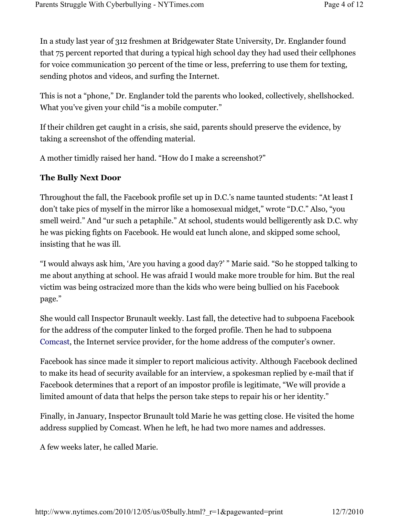In a study last year of 312 freshmen at Bridgewater State University, Dr. Englander found that 75 percent reported that during a typical high school day they had used their cellphones for voice communication 30 percent of the time or less, preferring to use them for texting, sending photos and videos, and surfing the Internet.

This is not a "phone," Dr. Englander told the parents who looked, collectively, shellshocked. What you've given your child "is a mobile computer."

If their children get caught in a crisis, she said, parents should preserve the evidence, by taking a screenshot of the offending material.

A mother timidly raised her hand. "How do I make a screenshot?"

#### **The Bully Next Door**

Throughout the fall, the Facebook profile set up in D.C.'s name taunted students: "At least I don't take pics of myself in the mirror like a homosexual midget," wrote "D.C." Also, "you smell weird." And "ur such a petaphile." At school, students would belligerently ask D.C. why he was picking fights on Facebook. He would eat lunch alone, and skipped some school, insisting that he was ill.

"I would always ask him, 'Are you having a good day?' " Marie said. "So he stopped talking to me about anything at school. He was afraid I would make more trouble for him. But the real victim was being ostracized more than the kids who were being bullied on his Facebook page."

She would call Inspector Brunault weekly. Last fall, the detective had to subpoena Facebook for the address of the computer linked to the forged profile. Then he had to subpoena Comcast, the Internet service provider, for the home address of the computer's owner.

Facebook has since made it simpler to report malicious activity. Although Facebook declined to make its head of security available for an interview, a spokesman replied by e-mail that if Facebook determines that a report of an impostor profile is legitimate, "We will provide a limited amount of data that helps the person take steps to repair his or her identity."

Finally, in January, Inspector Brunault told Marie he was getting close. He visited the home address supplied by Comcast. When he left, he had two more names and addresses.

A few weeks later, he called Marie.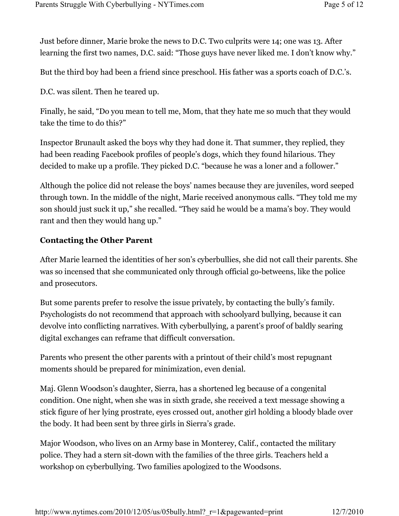Just before dinner, Marie broke the news to D.C. Two culprits were 14; one was 13. After learning the first two names, D.C. said: "Those guys have never liked me. I don't know why."

But the third boy had been a friend since preschool. His father was a sports coach of D.C.'s.

D.C. was silent. Then he teared up.

Finally, he said, "Do you mean to tell me, Mom, that they hate me so much that they would take the time to do this?"

Inspector Brunault asked the boys why they had done it. That summer, they replied, they had been reading Facebook profiles of people's dogs, which they found hilarious. They decided to make up a profile. They picked D.C. "because he was a loner and a follower."

Although the police did not release the boys' names because they are juveniles, word seeped through town. In the middle of the night, Marie received anonymous calls. "They told me my son should just suck it up," she recalled. "They said he would be a mama's boy. They would rant and then they would hang up."

## **Contacting the Other Parent**

After Marie learned the identities of her son's cyberbullies, she did not call their parents. She was so incensed that she communicated only through official go-betweens, like the police and prosecutors.

But some parents prefer to resolve the issue privately, by contacting the bully's family. Psychologists do not recommend that approach with schoolyard bullying, because it can devolve into conflicting narratives. With cyberbullying, a parent's proof of baldly searing digital exchanges can reframe that difficult conversation.

Parents who present the other parents with a printout of their child's most repugnant moments should be prepared for minimization, even denial.

Maj. Glenn Woodson's daughter, Sierra, has a shortened leg because of a congenital condition. One night, when she was in sixth grade, she received a text message showing a stick figure of her lying prostrate, eyes crossed out, another girl holding a bloody blade over the body. It had been sent by three girls in Sierra's grade.

Major Woodson, who lives on an Army base in Monterey, Calif., contacted the military police. They had a stern sit-down with the families of the three girls. Teachers held a workshop on cyberbullying. Two families apologized to the Woodsons.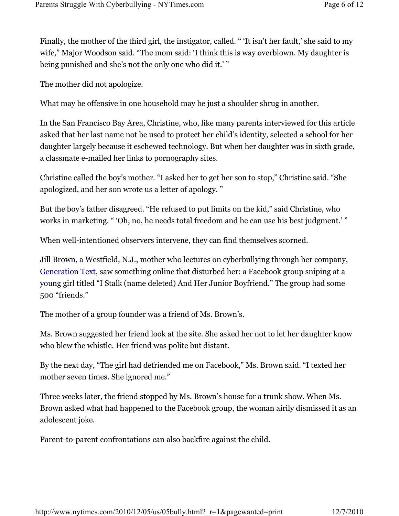Finally, the mother of the third girl, the instigator, called. " 'It isn't her fault,' she said to my wife," Major Woodson said. "The mom said: 'I think this is way overblown. My daughter is being punished and she's not the only one who did it.'"

The mother did not apologize.

What may be offensive in one household may be just a shoulder shrug in another.

In the San Francisco Bay Area, Christine, who, like many parents interviewed for this article asked that her last name not be used to protect her child's identity, selected a school for her daughter largely because it eschewed technology. But when her daughter was in sixth grade, a classmate e-mailed her links to pornography sites.

Christine called the boy's mother. "I asked her to get her son to stop," Christine said. "She apologized, and her son wrote us a letter of apology. "

But the boy's father disagreed. "He refused to put limits on the kid," said Christine, who works in marketing. " 'Oh, no, he needs total freedom and he can use his best judgment.' "

When well-intentioned observers intervene, they can find themselves scorned.

Jill Brown, a Westfield, N.J., mother who lectures on cyberbullying through her company, Generation Text, saw something online that disturbed her: a Facebook group sniping at a young girl titled "I Stalk (name deleted) And Her Junior Boyfriend." The group had some 500 "friends."

The mother of a group founder was a friend of Ms. Brown's.

Ms. Brown suggested her friend look at the site. She asked her not to let her daughter know who blew the whistle. Her friend was polite but distant.

By the next day, "The girl had defriended me on Facebook," Ms. Brown said. "I texted her mother seven times. She ignored me."

Three weeks later, the friend stopped by Ms. Brown's house for a trunk show. When Ms. Brown asked what had happened to the Facebook group, the woman airily dismissed it as an adolescent joke.

Parent-to-parent confrontations can also backfire against the child.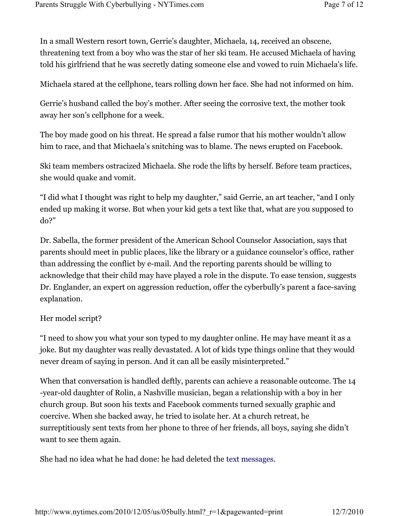In a small Western resort town, Gerrie's daughter, Michaela, 14, received an obscene, threatening text from a boy who was the star of her ski team. He accused Michaela of having told his girlfriend that he was secretly dating someone else and vowed to ruin Michaela's life.

Michaela stared at the cellphone, tears rolling down her face. She had not informed on him.

Gerrie's husband called the boy's mother. After seeing the corrosive text, the mother took away her son's cellphone for a week.

The boy made good on his threat. He spread a false rumor that his mother wouldn't allow him to race, and that Michaela's snitching was to blame. The news erupted on Facebook.

Ski team members ostracized Michaela. She rode the lifts by herself. Before team practices, she would quake and vomit.

"I did what I thought was right to help my daughter," said Gerrie, an art teacher, "and I only ended up making it worse. But when your kid gets a text like that, what are you supposed to do?"

Dr. Sabella, the former president of the American School Counselor Association, says that parents should meet in public places, like the library or a guidance counselor's office, rather than addressing the conflict by e-mail. And the reporting parents should be willing to acknowledge that their child may have played a role in the dispute. To ease tension, suggests Dr. Englander, an expert on aggression reduction, offer the cyberbully's parent a face-saving explanation.

#### Her model script?

"I need to show you what your son typed to my daughter online. He may have meant it as a joke. But my daughter was really devastated. A lot of kids type things online that they would never dream of saying in person. And it can all be easily misinterpreted."

When that conversation is handled deftly, parents can achieve a reasonable outcome. The 14 -year-old daughter of Rolin, a Nashville musician, began a relationship with a boy in her church group. But soon his texts and Facebook comments turned sexually graphic and coercive. When she backed away, he tried to isolate her. At a church retreat, he surreptitiously sent texts from her phone to three of her friends, all boys, saying she didn't want to see them again.

She had no idea what he had done: he had deleted the text messages.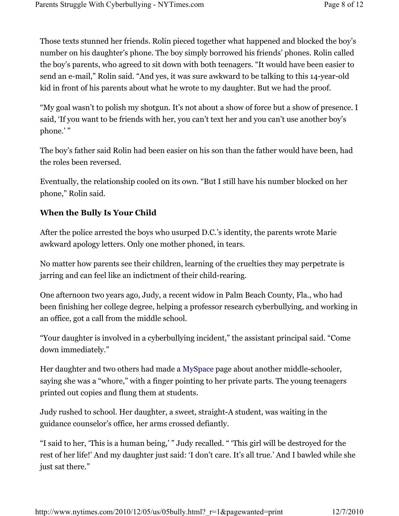Those texts stunned her friends. Rolin pieced together what happened and blocked the boy's number on his daughter's phone. The boy simply borrowed his friends' phones. Rolin called the boy's parents, who agreed to sit down with both teenagers. "It would have been easier to send an e-mail," Rolin said. "And yes, it was sure awkward to be talking to this 14-year-old kid in front of his parents about what he wrote to my daughter. But we had the proof.

"My goal wasn't to polish my shotgun. It's not about a show of force but a show of presence. I said, 'If you want to be friends with her, you can't text her and you can't use another boy's phone.'"

The boy's father said Rolin had been easier on his son than the father would have been, had the roles been reversed.

Eventually, the relationship cooled on its own. "But I still have his number blocked on her phone," Rolin said.

# **When the Bully Is Your Child**

After the police arrested the boys who usurped D.C.'s identity, the parents wrote Marie awkward apology letters. Only one mother phoned, in tears.

No matter how parents see their children, learning of the cruelties they may perpetrate is jarring and can feel like an indictment of their child-rearing.

One afternoon two years ago, Judy, a recent widow in Palm Beach County, Fla., who had been finishing her college degree, helping a professor research cyberbullying, and working in an office, got a call from the middle school.

"Your daughter is involved in a cyberbullying incident," the assistant principal said. "Come down immediately."

Her daughter and two others had made a MySpace page about another middle-schooler, saying she was a "whore," with a finger pointing to her private parts. The young teenagers printed out copies and flung them at students.

Judy rushed to school. Her daughter, a sweet, straight-A student, was waiting in the guidance counselor's office, her arms crossed defiantly.

"I said to her, 'This is a human being,' " Judy recalled. " 'This girl will be destroyed for the rest of her life!' And my daughter just said: 'I don't care. It's all true.' And I bawled while she just sat there."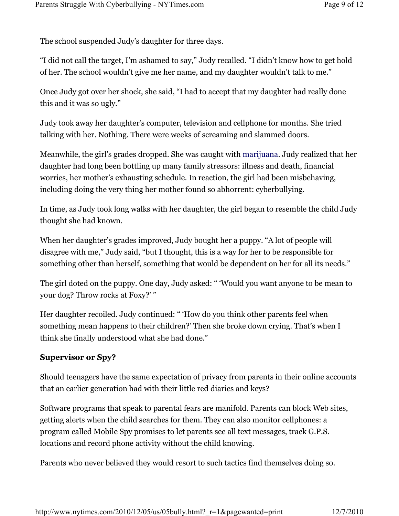The school suspended Judy's daughter for three days.

"I did not call the target, I'm ashamed to say," Judy recalled. "I didn't know how to get hold of her. The school wouldn't give me her name, and my daughter wouldn't talk to me."

Once Judy got over her shock, she said, "I had to accept that my daughter had really done this and it was so ugly."

Judy took away her daughter's computer, television and cellphone for months. She tried talking with her. Nothing. There were weeks of screaming and slammed doors.

Meanwhile, the girl's grades dropped. She was caught with marijuana. Judy realized that her daughter had long been bottling up many family stressors: illness and death, financial worries, her mother's exhausting schedule. In reaction, the girl had been misbehaving, including doing the very thing her mother found so abhorrent: cyberbullying.

In time, as Judy took long walks with her daughter, the girl began to resemble the child Judy thought she had known.

When her daughter's grades improved, Judy bought her a puppy. "A lot of people will disagree with me," Judy said, "but I thought, this is a way for her to be responsible for something other than herself, something that would be dependent on her for all its needs."

The girl doted on the puppy. One day, Judy asked: " 'Would you want anyone to be mean to your dog? Throw rocks at Foxy?' "

Her daughter recoiled. Judy continued: " 'How do you think other parents feel when something mean happens to their children?' Then she broke down crying. That's when I think she finally understood what she had done."

#### **Supervisor or Spy?**

Should teenagers have the same expectation of privacy from parents in their online accounts that an earlier generation had with their little red diaries and keys?

Software programs that speak to parental fears are manifold. Parents can block Web sites, getting alerts when the child searches for them. They can also monitor cellphones: a program called Mobile Spy promises to let parents see all text messages, track G.P.S. locations and record phone activity without the child knowing.

Parents who never believed they would resort to such tactics find themselves doing so.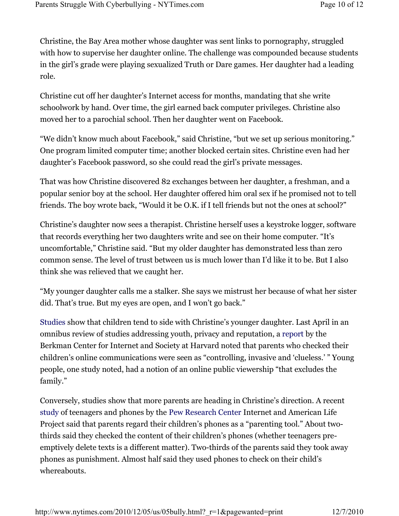Christine, the Bay Area mother whose daughter was sent links to pornography, struggled with how to supervise her daughter online. The challenge was compounded because students in the girl's grade were playing sexualized Truth or Dare games. Her daughter had a leading role.

Christine cut off her daughter's Internet access for months, mandating that she write schoolwork by hand. Over time, the girl earned back computer privileges. Christine also moved her to a parochial school. Then her daughter went on Facebook.

"We didn't know much about Facebook," said Christine, "but we set up serious monitoring." One program limited computer time; another blocked certain sites. Christine even had her daughter's Facebook password, so she could read the girl's private messages.

That was how Christine discovered 82 exchanges between her daughter, a freshman, and a popular senior boy at the school. Her daughter offered him oral sex if he promised not to tell friends. The boy wrote back, "Would it be O.K. if I tell friends but not the ones at school?"

Christine's daughter now sees a therapist. Christine herself uses a keystroke logger, software that records everything her two daughters write and see on their home computer. "It's uncomfortable," Christine said. "But my older daughter has demonstrated less than zero common sense. The level of trust between us is much lower than I'd like it to be. But I also think she was relieved that we caught her.

"My younger daughter calls me a stalker. She says we mistrust her because of what her sister did. That's true. But my eyes are open, and I won't go back."

Studies show that children tend to side with Christine's younger daughter. Last April in an omnibus review of studies addressing youth, privacy and reputation, a report by the Berkman Center for Internet and Society at Harvard noted that parents who checked their children's online communications were seen as "controlling, invasive and 'clueless.' " Young people, one study noted, had a notion of an online public viewership "that excludes the family."

Conversely, studies show that more parents are heading in Christine's direction. A recent study of teenagers and phones by the Pew Research Center Internet and American Life Project said that parents regard their children's phones as a "parenting tool." About twothirds said they checked the content of their children's phones (whether teenagers preemptively delete texts is a different matter). Two-thirds of the parents said they took away phones as punishment. Almost half said they used phones to check on their child's whereabouts.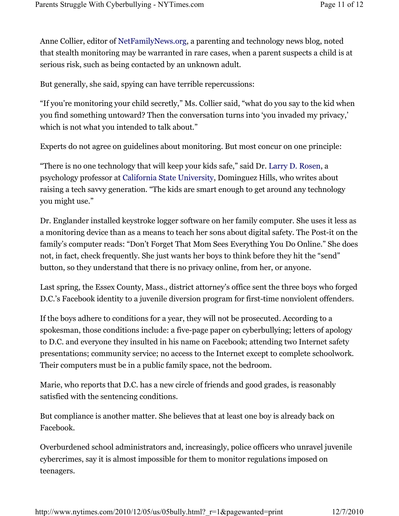Anne Collier, editor of NetFamilyNews.org, a parenting and technology news blog, noted that stealth monitoring may be warranted in rare cases, when a parent suspects a child is at serious risk, such as being contacted by an unknown adult.

But generally, she said, spying can have terrible repercussions:

"If you're monitoring your child secretly," Ms. Collier said, "what do you say to the kid when you find something untoward? Then the conversation turns into 'you invaded my privacy,' which is not what you intended to talk about."

Experts do not agree on guidelines about monitoring. But most concur on one principle:

"There is no one technology that will keep your kids safe," said Dr. Larry D. Rosen, a psychology professor at California State University, Dominguez Hills, who writes about raising a tech savvy generation. "The kids are smart enough to get around any technology you might use."

Dr. Englander installed keystroke logger software on her family computer. She uses it less as a monitoring device than as a means to teach her sons about digital safety. The Post-it on the family's computer reads: "Don't Forget That Mom Sees Everything You Do Online." She does not, in fact, check frequently. She just wants her boys to think before they hit the "send" button, so they understand that there is no privacy online, from her, or anyone.

Last spring, the Essex County, Mass., district attorney's office sent the three boys who forged D.C.'s Facebook identity to a juvenile diversion program for first-time nonviolent offenders.

If the boys adhere to conditions for a year, they will not be prosecuted. According to a spokesman, those conditions include: a five-page paper on cyberbullying; letters of apology to D.C. and everyone they insulted in his name on Facebook; attending two Internet safety presentations; community service; no access to the Internet except to complete schoolwork. Their computers must be in a public family space, not the bedroom.

Marie, who reports that D.C. has a new circle of friends and good grades, is reasonably satisfied with the sentencing conditions.

But compliance is another matter. She believes that at least one boy is already back on Facebook.

Overburdened school administrators and, increasingly, police officers who unravel juvenile cybercrimes, say it is almost impossible for them to monitor regulations imposed on teenagers.